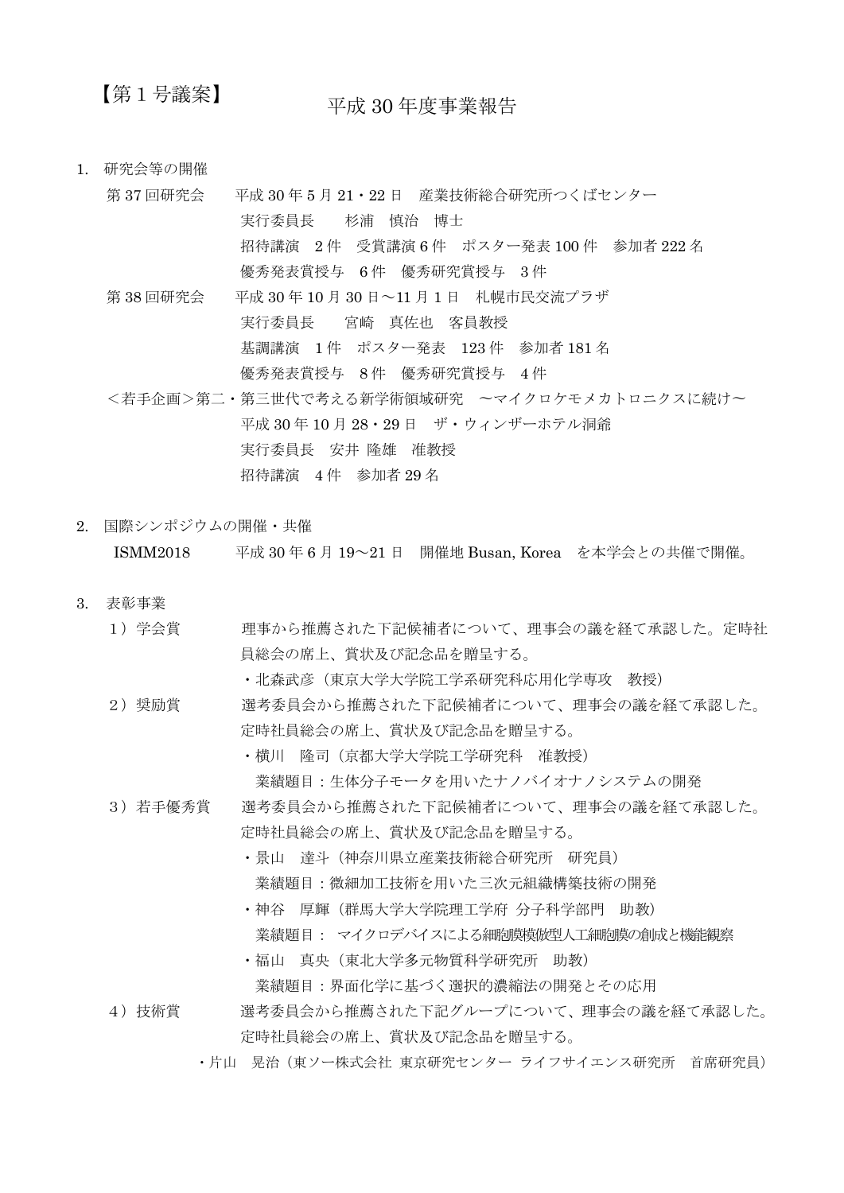## 【第1号議案】

平成 30 年度事業報告

- 1. 研究会等の開催
	- 第 37 回研究会 平成 30 年 5 月 21・22 日 産業技術総合研究所つくばセンター 実行委員長 杉浦 慎治 博士 招待講演 2 件 受賞講演 6 件 ポスター発表 100 件 参加者 222 名 優秀発表賞授与 6 件 優秀研究賞授与 3 件 第 38 回研究会 平成 30 年 10 月 30 日~11 月 1 日 札幌市民交流プラザ 実行委員長 宮崎 真佐也 客員教授 基調講演 1 件 ポスター発表 123 件 参加者 181 名 優秀発表賞授与 8 件 優秀研究賞授与 4 件 <若手企画>第二・第三世代で考える新学術領域研究 〜マイクロケモメカトロニクスに続け〜 平成 30 年 10 月 28・29 日 ザ・ウィンザーホテル洞爺 実行委員長 安井 隆雄 准教授 招待講演 4 件 参加者 29 名
- 2. 国際シンポジウムの開催・共催 ISMM2018 平成 30 年 6 月 19~21 日 開催地 Busan, Korea を本学会との共催で開催。
- 3. 表彰事業
	- 1) 学会賞 理事から推薦された下記候補者について、理事会の議を経て承認した。定時社 員総会の席上、賞状及び記念品を贈呈する。

• 北森武彦(東京大学大学院工学系研究科応用化学専攻 教授)

- 2) 奨励賞 選考委員会から推薦された下記候補者について、理事会の議を経て承認した。 定時社員総会の席上、賞状及び記念品を贈呈する。
	- ・横川 隆司(京都大学大学院工学研究科 准教授) 業績題目:生体分子モータを用いたナノバイオナノシステムの開発
- 3)若手優秀賞 選考委員会から推薦された下記候補者について、理事会の議を経て承認した。 定時社員総会の席上、賞状及び記念品を贈呈する。
	- ・景山 達斗(神奈川県立産業技術総合研究所 研究員) 業績題目:微細加工技術を用いた三次元組織構築技術の開発
	- ・神谷 厚輝(群馬大学大学院理工学府 分子科学部門 助教) 業績題目: マイクロデバイスによる細胞膜模倣型人工細胞膜の創成と機能観察
	- ・福山 真央(東北大学多元物質科学研究所 助教) 業績題目:界面化学に基づく選択的濃縮法の開発とその応用
- 4)技術賞 選考委員会から推薦された下記グループについて、理事会の議を経て承認した。 定時社員総会の席上、賞状及び記念品を贈呈する。
	- ・片山 晃治(東ソー株式会社 東京研究センター ライフサイエンス研究所 首席研究員)